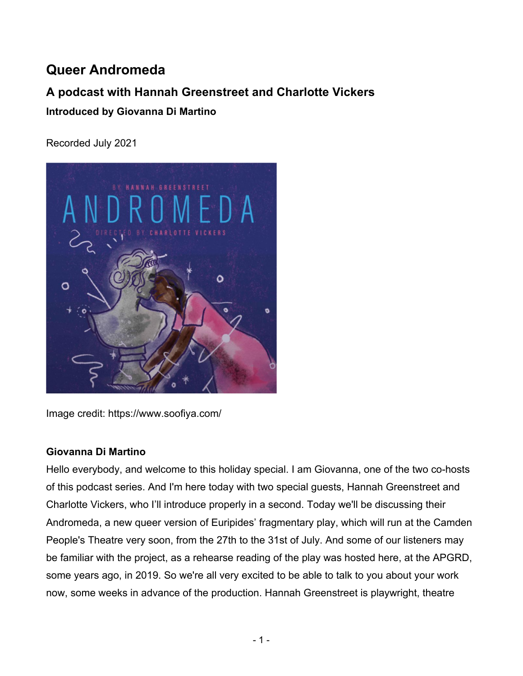# **Queer Andromeda**

# **A podcast with Hannah Greenstreet and Charlotte Vickers**

**Introduced by Giovanna Di Martino**

Recorded July 2021



Image credit: https://www.soofiya.com/

#### **Giovanna Di Martino**

Hello everybody, and welcome to this holiday special. I am Giovanna, one of the two co-hosts of this podcast series. And I'm here today with two special guests, Hannah Greenstreet and Charlotte Vickers, who I'll introduce properly in a second. Today we'll be discussing their Andromeda, a new queer version of Euripides' fragmentary play, which will run at the Camden People's Theatre very soon, from the 27th to the 31st of July. And some of our listeners may be familiar with the project, as a rehearse reading of the play was hosted here, at the APGRD, some years ago, in 2019. So we're all very excited to be able to talk to you about your work now, some weeks in advance of the production. Hannah Greenstreet is playwright, theatre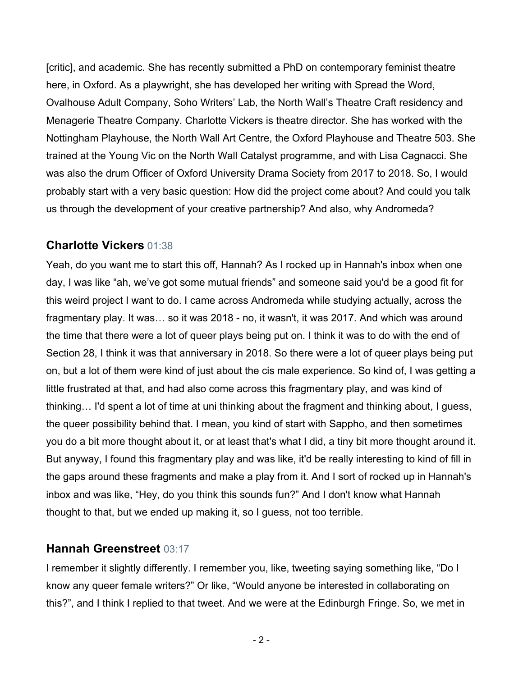[critic], and academic. She has recently submitted a PhD on contemporary feminist theatre here, in Oxford. As a playwright, she has developed her writing with Spread the Word, Ovalhouse Adult Company, Soho Writers' Lab, the North Wall's Theatre Craft residency and Menagerie Theatre Company. Charlotte Vickers is theatre director. She has worked with the Nottingham Playhouse, the North Wall Art Centre, the Oxford Playhouse and Theatre 503. She trained at the Young Vic on the North Wall Catalyst programme, and with Lisa Cagnacci. She was also the drum Officer of Oxford University Drama Society from 2017 to 2018. So, I would probably start with a very basic question: How did the project come about? And could you talk us through the development of your creative partnership? And also, why Andromeda?

### **Charlotte Vickers** 01:38

Yeah, do you want me to start this off, Hannah? As I rocked up in Hannah's inbox when one day, I was like "ah, we've got some mutual friends" and someone said you'd be a good fit for this weird project I want to do. I came across Andromeda while studying actually, across the fragmentary play. It was… so it was 2018 - no, it wasn't, it was 2017. And which was around the time that there were a lot of queer plays being put on. I think it was to do with the end of Section 28, I think it was that anniversary in 2018. So there were a lot of queer plays being put on, but a lot of them were kind of just about the cis male experience. So kind of, I was getting a little frustrated at that, and had also come across this fragmentary play, and was kind of thinking… I'd spent a lot of time at uni thinking about the fragment and thinking about, I guess, the queer possibility behind that. I mean, you kind of start with Sappho, and then sometimes you do a bit more thought about it, or at least that's what I did, a tiny bit more thought around it. But anyway, I found this fragmentary play and was like, it'd be really interesting to kind of fill in the gaps around these fragments and make a play from it. And I sort of rocked up in Hannah's inbox and was like, "Hey, do you think this sounds fun?" And I don't know what Hannah thought to that, but we ended up making it, so I guess, not too terrible.

#### **Hannah Greenstreet** 03:17

I remember it slightly differently. I remember you, like, tweeting saying something like, "Do I know any queer female writers?" Or like, "Would anyone be interested in collaborating on this?", and I think I replied to that tweet. And we were at the Edinburgh Fringe. So, we met in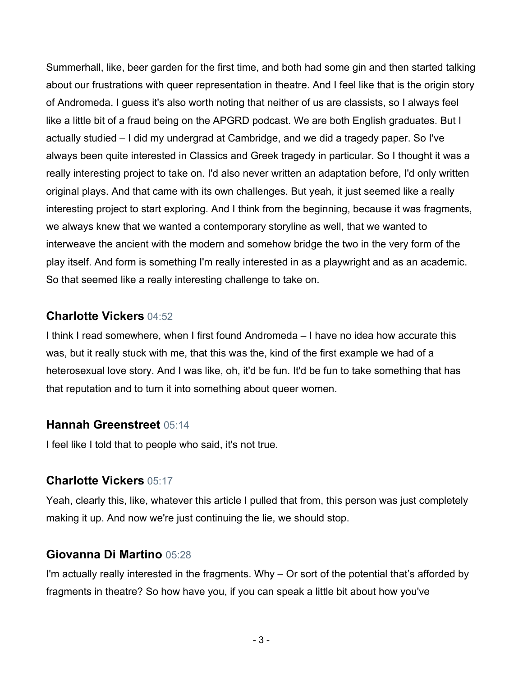Summerhall, like, beer garden for the first time, and both had some gin and then started talking about our frustrations with queer representation in theatre. And I feel like that is the origin story of Andromeda. I guess it's also worth noting that neither of us are classists, so I always feel like a little bit of a fraud being on the APGRD podcast. We are both English graduates. But I actually studied – I did my undergrad at Cambridge, and we did a tragedy paper. So I've always been quite interested in Classics and Greek tragedy in particular. So I thought it was a really interesting project to take on. I'd also never written an adaptation before, I'd only written original plays. And that came with its own challenges. But yeah, it just seemed like a really interesting project to start exploring. And I think from the beginning, because it was fragments, we always knew that we wanted a contemporary storyline as well, that we wanted to interweave the ancient with the modern and somehow bridge the two in the very form of the play itself. And form is something I'm really interested in as a playwright and as an academic. So that seemed like a really interesting challenge to take on.

#### **Charlotte Vickers** 04:52

I think I read somewhere, when I first found Andromeda – I have no idea how accurate this was, but it really stuck with me, that this was the, kind of the first example we had of a heterosexual love story. And I was like, oh, it'd be fun. It'd be fun to take something that has that reputation and to turn it into something about queer women.

#### **Hannah Greenstreet** 05:14

I feel like I told that to people who said, it's not true.

#### **Charlotte Vickers** 05:17

Yeah, clearly this, like, whatever this article I pulled that from, this person was just completely making it up. And now we're just continuing the lie, we should stop.

## **Giovanna Di Martino** 05:28

I'm actually really interested in the fragments. Why - Or sort of the potential that's afforded by fragments in theatre? So how have you, if you can speak a little bit about how you've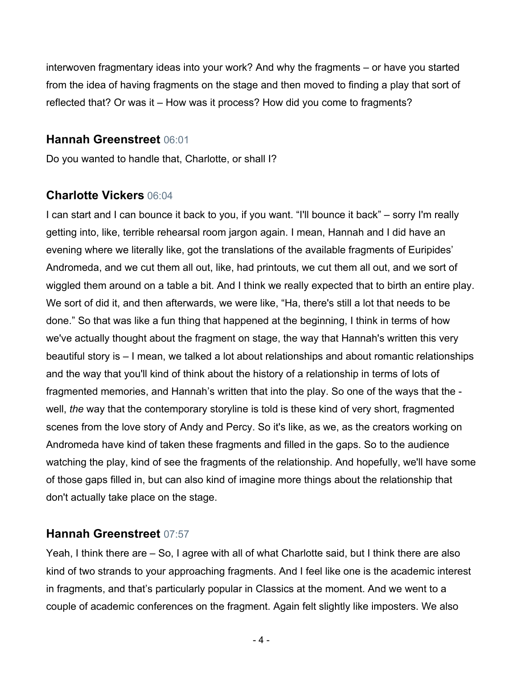interwoven fragmentary ideas into your work? And why the fragments – or have you started from the idea of having fragments on the stage and then moved to finding a play that sort of reflected that? Or was it – How was it process? How did you come to fragments?

#### **Hannah Greenstreet** 06:01

Do you wanted to handle that, Charlotte, or shall I?

#### **Charlotte Vickers** 06:04

I can start and I can bounce it back to you, if you want. "I'll bounce it back" – sorry I'm really getting into, like, terrible rehearsal room jargon again. I mean, Hannah and I did have an evening where we literally like, got the translations of the available fragments of Euripides' Andromeda, and we cut them all out, like, had printouts, we cut them all out, and we sort of wiggled them around on a table a bit. And I think we really expected that to birth an entire play. We sort of did it, and then afterwards, we were like, "Ha, there's still a lot that needs to be done." So that was like a fun thing that happened at the beginning, I think in terms of how we've actually thought about the fragment on stage, the way that Hannah's written this very beautiful story is – I mean, we talked a lot about relationships and about romantic relationships and the way that you'll kind of think about the history of a relationship in terms of lots of fragmented memories, and Hannah's written that into the play. So one of the ways that the well, *the* way that the contemporary storyline is told is these kind of very short, fragmented scenes from the love story of Andy and Percy. So it's like, as we, as the creators working on Andromeda have kind of taken these fragments and filled in the gaps. So to the audience watching the play, kind of see the fragments of the relationship. And hopefully, we'll have some of those gaps filled in, but can also kind of imagine more things about the relationship that don't actually take place on the stage.

#### **Hannah Greenstreet** 07:57

Yeah, I think there are – So, I agree with all of what Charlotte said, but I think there are also kind of two strands to your approaching fragments. And I feel like one is the academic interest in fragments, and that's particularly popular in Classics at the moment. And we went to a couple of academic conferences on the fragment. Again felt slightly like imposters. We also

- 4 -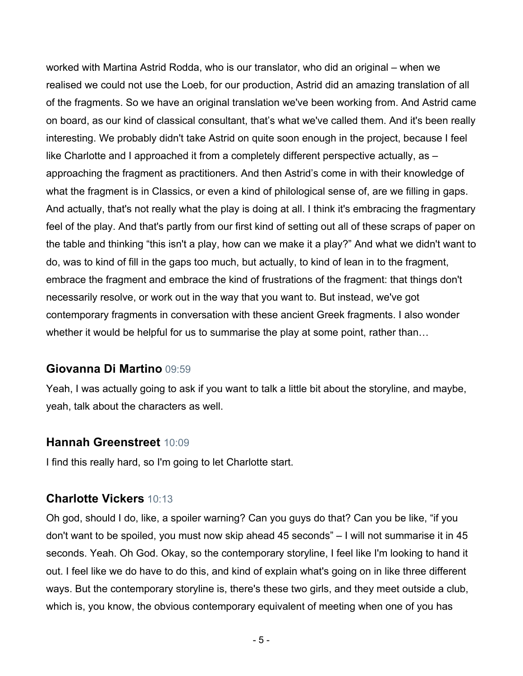worked with Martina Astrid Rodda, who is our translator, who did an original – when we realised we could not use the Loeb, for our production, Astrid did an amazing translation of all of the fragments. So we have an original translation we've been working from. And Astrid came on board, as our kind of classical consultant, that's what we've called them. And it's been really interesting. We probably didn't take Astrid on quite soon enough in the project, because I feel like Charlotte and I approached it from a completely different perspective actually, as approaching the fragment as practitioners. And then Astrid's come in with their knowledge of what the fragment is in Classics, or even a kind of philological sense of, are we filling in gaps. And actually, that's not really what the play is doing at all. I think it's embracing the fragmentary feel of the play. And that's partly from our first kind of setting out all of these scraps of paper on the table and thinking "this isn't a play, how can we make it a play?" And what we didn't want to do, was to kind of fill in the gaps too much, but actually, to kind of lean in to the fragment, embrace the fragment and embrace the kind of frustrations of the fragment: that things don't necessarily resolve, or work out in the way that you want to. But instead, we've got contemporary fragments in conversation with these ancient Greek fragments. I also wonder whether it would be helpful for us to summarise the play at some point, rather than...

#### **Giovanna Di Martino** 09:59

Yeah, I was actually going to ask if you want to talk a little bit about the storyline, and maybe, yeah, talk about the characters as well.

#### **Hannah Greenstreet** 10:09

I find this really hard, so I'm going to let Charlotte start.

#### **Charlotte Vickers** 10:13

Oh god, should I do, like, a spoiler warning? Can you guys do that? Can you be like, "if you don't want to be spoiled, you must now skip ahead 45 seconds" – I will not summarise it in 45 seconds. Yeah. Oh God. Okay, so the contemporary storyline, I feel like I'm looking to hand it out. I feel like we do have to do this, and kind of explain what's going on in like three different ways. But the contemporary storyline is, there's these two girls, and they meet outside a club, which is, you know, the obvious contemporary equivalent of meeting when one of you has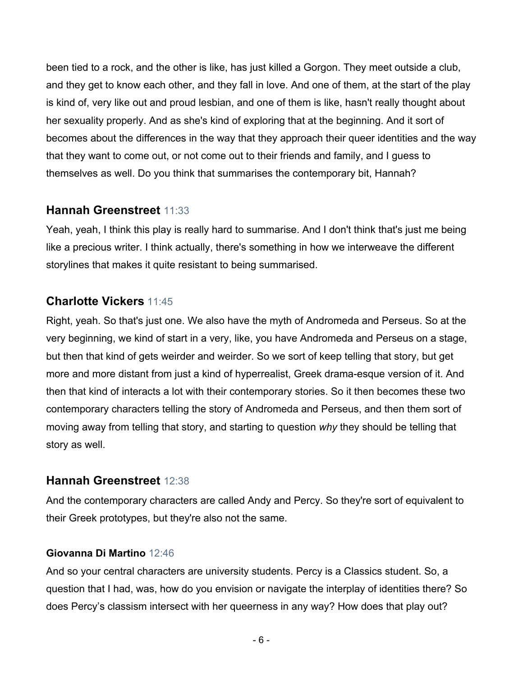been tied to a rock, and the other is like, has just killed a Gorgon. They meet outside a club, and they get to know each other, and they fall in love. And one of them, at the start of the play is kind of, very like out and proud lesbian, and one of them is like, hasn't really thought about her sexuality properly. And as she's kind of exploring that at the beginning. And it sort of becomes about the differences in the way that they approach their queer identities and the way that they want to come out, or not come out to their friends and family, and I guess to themselves as well. Do you think that summarises the contemporary bit, Hannah?

#### **Hannah Greenstreet** 11:33

Yeah, yeah, I think this play is really hard to summarise. And I don't think that's just me being like a precious writer. I think actually, there's something in how we interweave the different storylines that makes it quite resistant to being summarised.

#### **Charlotte Vickers** 11:45

Right, yeah. So that's just one. We also have the myth of Andromeda and Perseus. So at the very beginning, we kind of start in a very, like, you have Andromeda and Perseus on a stage, but then that kind of gets weirder and weirder. So we sort of keep telling that story, but get more and more distant from just a kind of hyperrealist, Greek drama-esque version of it. And then that kind of interacts a lot with their contemporary stories. So it then becomes these two contemporary characters telling the story of Andromeda and Perseus, and then them sort of moving away from telling that story, and starting to question *why* they should be telling that story as well.

#### **Hannah Greenstreet** 12:38

And the contemporary characters are called Andy and Percy. So they're sort of equivalent to their Greek prototypes, but they're also not the same.

#### **Giovanna Di Martino** 12:46

And so your central characters are university students. Percy is a Classics student. So, a question that I had, was, how do you envision or navigate the interplay of identities there? So does Percy's classism intersect with her queerness in any way? How does that play out?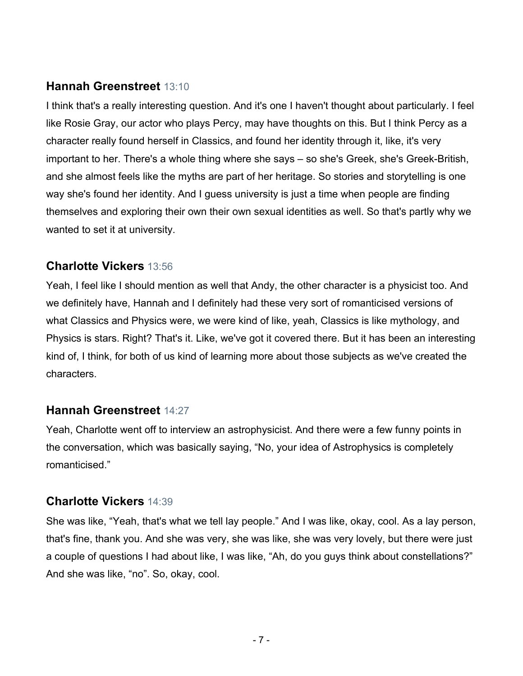## **Hannah Greenstreet** 13:10

I think that's a really interesting question. And it's one I haven't thought about particularly. I feel like Rosie Gray, our actor who plays Percy, may have thoughts on this. But I think Percy as a character really found herself in Classics, and found her identity through it, like, it's very important to her. There's a whole thing where she says – so she's Greek, she's Greek-British, and she almost feels like the myths are part of her heritage. So stories and storytelling is one way she's found her identity. And I guess university is just a time when people are finding themselves and exploring their own their own sexual identities as well. So that's partly why we wanted to set it at university.

### **Charlotte Vickers** 13:56

Yeah, I feel like I should mention as well that Andy, the other character is a physicist too. And we definitely have, Hannah and I definitely had these very sort of romanticised versions of what Classics and Physics were, we were kind of like, yeah, Classics is like mythology, and Physics is stars. Right? That's it. Like, we've got it covered there. But it has been an interesting kind of, I think, for both of us kind of learning more about those subjects as we've created the characters.

#### **Hannah Greenstreet** 14:27

Yeah, Charlotte went off to interview an astrophysicist. And there were a few funny points in the conversation, which was basically saying, "No, your idea of Astrophysics is completely romanticised."

## **Charlotte Vickers** 14:39

She was like, "Yeah, that's what we tell lay people." And I was like, okay, cool. As a lay person, that's fine, thank you. And she was very, she was like, she was very lovely, but there were just a couple of questions I had about like, I was like, "Ah, do you guys think about constellations?" And she was like, "no". So, okay, cool.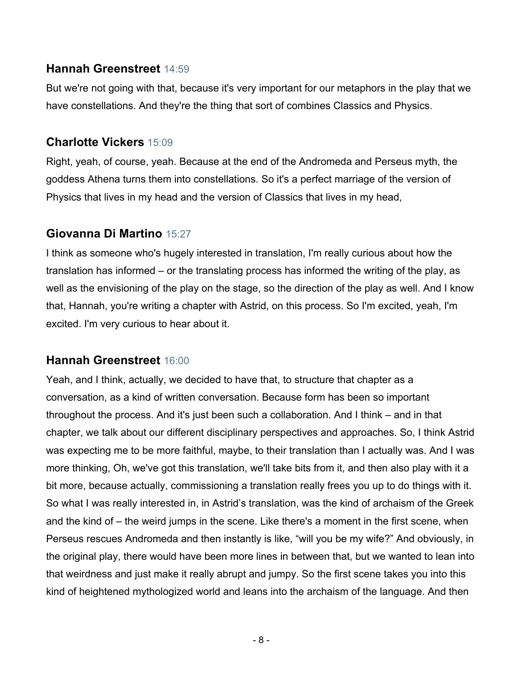### **Hannah Greenstreet** 14:59

But we're not going with that, because it's very important for our metaphors in the play that we have constellations. And they're the thing that sort of combines Classics and Physics.

### **Charlotte Vickers** 15:09

Right, yeah, of course, yeah. Because at the end of the Andromeda and Perseus myth, the goddess Athena turns them into constellations. So it's a perfect marriage of the version of Physics that lives in my head and the version of Classics that lives in my head,

### **Giovanna Di Martino** 15:27

I think as someone who's hugely interested in translation, I'm really curious about how the translation has informed – or the translating process has informed the writing of the play, as well as the envisioning of the play on the stage, so the direction of the play as well. And I know that, Hannah, you're writing a chapter with Astrid, on this process. So I'm excited, yeah, I'm excited. I'm very curious to hear about it.

## **Hannah Greenstreet** 16:00

Yeah, and I think, actually, we decided to have that, to structure that chapter as a conversation, as a kind of written conversation. Because form has been so important throughout the process. And it's just been such a collaboration. And I think – and in that chapter, we talk about our different disciplinary perspectives and approaches. So, I think Astrid was expecting me to be more faithful, maybe, to their translation than I actually was. And I was more thinking, Oh, we've got this translation, we'll take bits from it, and then also play with it a bit more, because actually, commissioning a translation really frees you up to do things with it. So what I was really interested in, in Astrid's translation, was the kind of archaism of the Greek and the kind of – the weird jumps in the scene. Like there's a moment in the first scene, when Perseus rescues Andromeda and then instantly is like, "will you be my wife?" And obviously, in the original play, there would have been more lines in between that, but we wanted to lean into that weirdness and just make it really abrupt and jumpy. So the first scene takes you into this kind of heightened mythologized world and leans into the archaism of the language. And then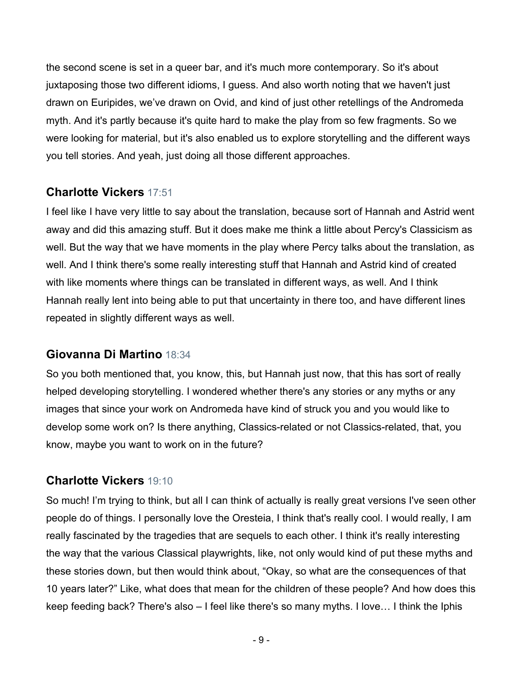the second scene is set in a queer bar, and it's much more contemporary. So it's about juxtaposing those two different idioms, I guess. And also worth noting that we haven't just drawn on Euripides, we've drawn on Ovid, and kind of just other retellings of the Andromeda myth. And it's partly because it's quite hard to make the play from so few fragments. So we were looking for material, but it's also enabled us to explore storytelling and the different ways you tell stories. And yeah, just doing all those different approaches.

## **Charlotte Vickers** 17:51

I feel like I have very little to say about the translation, because sort of Hannah and Astrid went away and did this amazing stuff. But it does make me think a little about Percy's Classicism as well. But the way that we have moments in the play where Percy talks about the translation, as well. And I think there's some really interesting stuff that Hannah and Astrid kind of created with like moments where things can be translated in different ways, as well. And I think Hannah really lent into being able to put that uncertainty in there too, and have different lines repeated in slightly different ways as well.

## **Giovanna Di Martino** 18:34

So you both mentioned that, you know, this, but Hannah just now, that this has sort of really helped developing storytelling. I wondered whether there's any stories or any myths or any images that since your work on Andromeda have kind of struck you and you would like to develop some work on? Is there anything, Classics-related or not Classics-related, that, you know, maybe you want to work on in the future?

## **Charlotte Vickers** 19:10

So much! I'm trying to think, but all I can think of actually is really great versions I've seen other people do of things. I personally love the Oresteia, I think that's really cool. I would really, I am really fascinated by the tragedies that are sequels to each other. I think it's really interesting the way that the various Classical playwrights, like, not only would kind of put these myths and these stories down, but then would think about, "Okay, so what are the consequences of that 10 years later?" Like, what does that mean for the children of these people? And how does this keep feeding back? There's also – I feel like there's so many myths. I love… I think the Iphis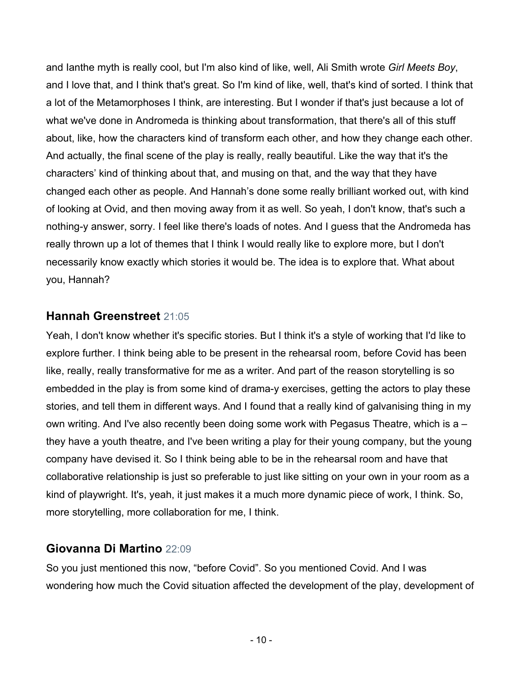and Ianthe myth is really cool, but I'm also kind of like, well, Ali Smith wrote *Girl Meets Boy*, and I love that, and I think that's great. So I'm kind of like, well, that's kind of sorted. I think that a lot of the Metamorphoses I think, are interesting. But I wonder if that's just because a lot of what we've done in Andromeda is thinking about transformation, that there's all of this stuff about, like, how the characters kind of transform each other, and how they change each other. And actually, the final scene of the play is really, really beautiful. Like the way that it's the characters' kind of thinking about that, and musing on that, and the way that they have changed each other as people. And Hannah's done some really brilliant worked out, with kind of looking at Ovid, and then moving away from it as well. So yeah, I don't know, that's such a nothing-y answer, sorry. I feel like there's loads of notes. And I guess that the Andromeda has really thrown up a lot of themes that I think I would really like to explore more, but I don't necessarily know exactly which stories it would be. The idea is to explore that. What about you, Hannah?

### **Hannah Greenstreet** 21:05

Yeah, I don't know whether it's specific stories. But I think it's a style of working that I'd like to explore further. I think being able to be present in the rehearsal room, before Covid has been like, really, really transformative for me as a writer. And part of the reason storytelling is so embedded in the play is from some kind of drama-y exercises, getting the actors to play these stories, and tell them in different ways. And I found that a really kind of galvanising thing in my own writing. And I've also recently been doing some work with Pegasus Theatre, which is a – they have a youth theatre, and I've been writing a play for their young company, but the young company have devised it. So I think being able to be in the rehearsal room and have that collaborative relationship is just so preferable to just like sitting on your own in your room as a kind of playwright. It's, yeah, it just makes it a much more dynamic piece of work, I think. So, more storytelling, more collaboration for me, I think.

## **Giovanna Di Martino** 22:09

So you just mentioned this now, "before Covid". So you mentioned Covid. And I was wondering how much the Covid situation affected the development of the play, development of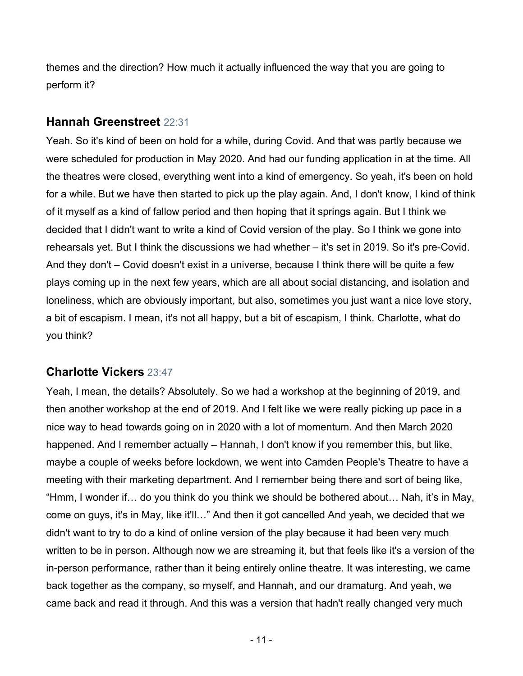themes and the direction? How much it actually influenced the way that you are going to perform it?

### **Hannah Greenstreet** 22:31

Yeah. So it's kind of been on hold for a while, during Covid. And that was partly because we were scheduled for production in May 2020. And had our funding application in at the time. All the theatres were closed, everything went into a kind of emergency. So yeah, it's been on hold for a while. But we have then started to pick up the play again. And, I don't know, I kind of think of it myself as a kind of fallow period and then hoping that it springs again. But I think we decided that I didn't want to write a kind of Covid version of the play. So I think we gone into rehearsals yet. But I think the discussions we had whether – it's set in 2019. So it's pre-Covid. And they don't – Covid doesn't exist in a universe, because I think there will be quite a few plays coming up in the next few years, which are all about social distancing, and isolation and loneliness, which are obviously important, but also, sometimes you just want a nice love story, a bit of escapism. I mean, it's not all happy, but a bit of escapism, I think. Charlotte, what do you think?

## **Charlotte Vickers** 23:47

Yeah, I mean, the details? Absolutely. So we had a workshop at the beginning of 2019, and then another workshop at the end of 2019. And I felt like we were really picking up pace in a nice way to head towards going on in 2020 with a lot of momentum. And then March 2020 happened. And I remember actually – Hannah, I don't know if you remember this, but like, maybe a couple of weeks before lockdown, we went into Camden People's Theatre to have a meeting with their marketing department. And I remember being there and sort of being like, "Hmm, I wonder if… do you think do you think we should be bothered about… Nah, it's in May, come on guys, it's in May, like it'll…" And then it got cancelled And yeah, we decided that we didn't want to try to do a kind of online version of the play because it had been very much written to be in person. Although now we are streaming it, but that feels like it's a version of the in-person performance, rather than it being entirely online theatre. It was interesting, we came back together as the company, so myself, and Hannah, and our dramaturg. And yeah, we came back and read it through. And this was a version that hadn't really changed very much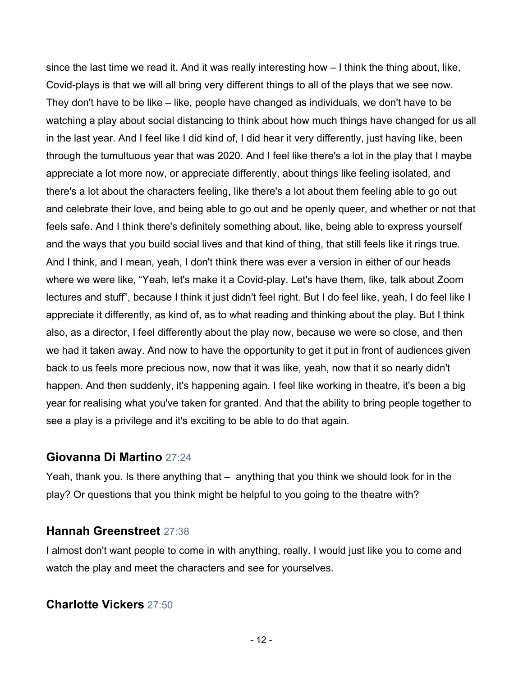since the last time we read it. And it was really interesting how – I think the thing about, like, Covid-plays is that we will all bring very different things to all of the plays that we see now. They don't have to be like – like, people have changed as individuals, we don't have to be watching a play about social distancing to think about how much things have changed for us all in the last year. And I feel like I did kind of, I did hear it very differently, just having like, been through the tumultuous year that was 2020. And I feel like there's a lot in the play that I maybe appreciate a lot more now, or appreciate differently, about things like feeling isolated, and there's a lot about the characters feeling, like there's a lot about them feeling able to go out and celebrate their love, and being able to go out and be openly queer, and whether or not that feels safe. And I think there's definitely something about, like, being able to express yourself and the ways that you build social lives and that kind of thing, that still feels like it rings true. And I think, and I mean, yeah, I don't think there was ever a version in either of our heads where we were like, "Yeah, let's make it a Covid-play. Let's have them, like, talk about Zoom lectures and stuff", because I think it just didn't feel right. But I do feel like, yeah, I do feel like I appreciate it differently, as kind of, as to what reading and thinking about the play. But I think also, as a director, I feel differently about the play now, because we were so close, and then we had it taken away. And now to have the opportunity to get it put in front of audiences given back to us feels more precious now, now that it was like, yeah, now that it so nearly didn't happen. And then suddenly, it's happening again. I feel like working in theatre, it's been a big year for realising what you've taken for granted. And that the ability to bring people together to see a play is a privilege and it's exciting to be able to do that again.

#### **Giovanna Di Martino** 27:24

Yeah, thank you. Is there anything that – anything that you think we should look for in the play? Or questions that you think might be helpful to you going to the theatre with?

#### **Hannah Greenstreet** 27:38

I almost don't want people to come in with anything, really. I would just like you to come and watch the play and meet the characters and see for yourselves.

#### **Charlotte Vickers** 27:50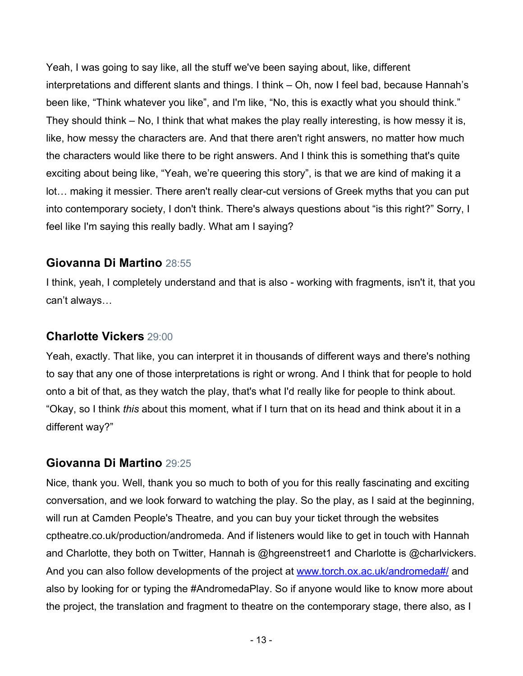Yeah, I was going to say like, all the stuff we've been saying about, like, different interpretations and different slants and things. I think – Oh, now I feel bad, because Hannah's been like, "Think whatever you like", and I'm like, "No, this is exactly what you should think." They should think – No, I think that what makes the play really interesting, is how messy it is, like, how messy the characters are. And that there aren't right answers, no matter how much the characters would like there to be right answers. And I think this is something that's quite exciting about being like, "Yeah, we're queering this story", is that we are kind of making it a lot… making it messier. There aren't really clear-cut versions of Greek myths that you can put into contemporary society, I don't think. There's always questions about "is this right?" Sorry, I feel like I'm saying this really badly. What am I saying?

### **Giovanna Di Martino** 28:55

I think, yeah, I completely understand and that is also - working with fragments, isn't it, that you can't always…

## **Charlotte Vickers** 29:00

Yeah, exactly. That like, you can interpret it in thousands of different ways and there's nothing to say that any one of those interpretations is right or wrong. And I think that for people to hold onto a bit of that, as they watch the play, that's what I'd really like for people to think about. "Okay, so I think *this* about this moment, what if I turn that on its head and think about it in a different way?"

## **Giovanna Di Martino** 29:25

Nice, thank you. Well, thank you so much to both of you for this really fascinating and exciting conversation, and we look forward to watching the play. So the play, as I said at the beginning, will run at Camden People's Theatre, and you can buy your ticket through the websites cptheatre.co.uk/production/andromeda. And if listeners would like to get in touch with Hannah and Charlotte, they both on Twitter, Hannah is @hgreenstreet1 and Charlotte is @charlvickers. And you can also follow developments of the project at www.torch.ox.ac.uk/andromeda#/ and also by looking for or typing the #AndromedaPlay. So if anyone would like to know more about the project, the translation and fragment to theatre on the contemporary stage, there also, as I